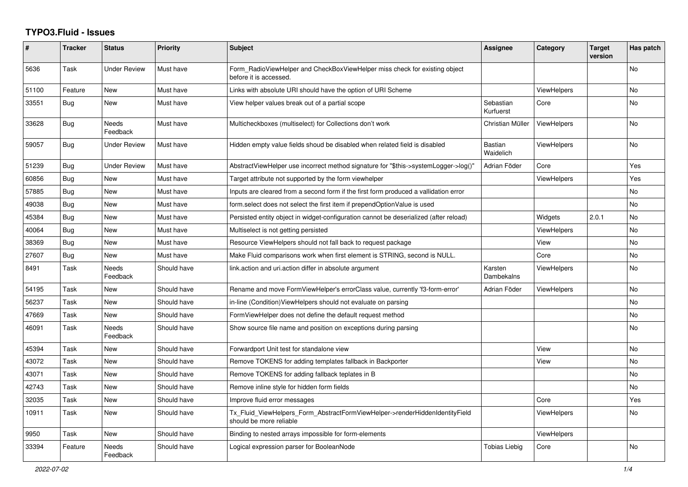## **TYPO3.Fluid - Issues**

| #     | <b>Tracker</b> | <b>Status</b>            | <b>Priority</b> | Subject                                                                                                | Assignee                    | Category           | <b>Target</b><br>version | Has patch      |
|-------|----------------|--------------------------|-----------------|--------------------------------------------------------------------------------------------------------|-----------------------------|--------------------|--------------------------|----------------|
| 5636  | Task           | Under Review             | Must have       | Form RadioViewHelper and CheckBoxViewHelper miss check for existing object<br>before it is accessed.   |                             |                    |                          | N <sub>o</sub> |
| 51100 | Feature        | <b>New</b>               | Must have       | Links with absolute URI should have the option of URI Scheme                                           |                             | <b>ViewHelpers</b> |                          | No.            |
| 33551 | <b>Bug</b>     | New                      | Must have       | View helper values break out of a partial scope                                                        | Sebastian<br>Kurfuerst      | Core               |                          | No             |
| 33628 | Bug            | Needs<br>Feedback        | Must have       | Multicheckboxes (multiselect) for Collections don't work                                               | Christian Müller            | <b>ViewHelpers</b> |                          | No             |
| 59057 | Bug            | <b>Under Review</b>      | Must have       | Hidden empty value fields shoud be disabled when related field is disabled                             | <b>Bastian</b><br>Waidelich | <b>ViewHelpers</b> |                          | No             |
| 51239 | Bug            | <b>Under Review</b>      | Must have       | AbstractViewHelper use incorrect method signature for "\$this->systemLogger->log()"                    | Adrian Föder                | Core               |                          | Yes            |
| 60856 | Bug            | <b>New</b>               | Must have       | Target attribute not supported by the form viewhelper                                                  |                             | <b>ViewHelpers</b> |                          | Yes            |
| 57885 | Bug            | New                      | Must have       | Inputs are cleared from a second form if the first form produced a vallidation error                   |                             |                    |                          | No             |
| 49038 | Bug            | New                      | Must have       | form select does not select the first item if prependOptionValue is used                               |                             |                    |                          | No             |
| 45384 | Bug            | New                      | Must have       | Persisted entity object in widget-configuration cannot be deserialized (after reload)                  |                             | Widgets            | 2.0.1                    | No             |
| 40064 | Bug            | New                      | Must have       | Multiselect is not getting persisted                                                                   |                             | <b>ViewHelpers</b> |                          | No             |
| 38369 | <b>Bug</b>     | <b>New</b>               | Must have       | Resource ViewHelpers should not fall back to request package                                           |                             | View               |                          | No             |
| 27607 | <b>Bug</b>     | New                      | Must have       | Make Fluid comparisons work when first element is STRING, second is NULL.                              |                             | Core               |                          | No             |
| 8491  | Task           | Needs<br>Feedback        | Should have     | link action and uri action differ in absolute argument                                                 | Karsten<br>Dambekalns       | ViewHelpers        |                          | No             |
| 54195 | Task           | New                      | Should have     | Rename and move FormViewHelper's errorClass value, currently 'f3-form-error'                           | Adrian Föder                | ViewHelpers        |                          | No             |
| 56237 | Task           | New                      | Should have     | in-line (Condition) View Helpers should not evaluate on parsing                                        |                             |                    |                          | No             |
| 47669 | Task           | New                      | Should have     | FormViewHelper does not define the default request method                                              |                             |                    |                          | No             |
| 46091 | Task           | Needs<br>Feedback        | Should have     | Show source file name and position on exceptions during parsing                                        |                             |                    |                          | No             |
| 45394 | Task           | New                      | Should have     | Forwardport Unit test for standalone view                                                              |                             | View               |                          | <b>No</b>      |
| 43072 | Task           | New                      | Should have     | Remove TOKENS for adding templates fallback in Backporter                                              |                             | View               |                          | No             |
| 43071 | Task           | New                      | Should have     | Remove TOKENS for adding fallback teplates in B                                                        |                             |                    |                          | No             |
| 42743 | Task           | New                      | Should have     | Remove inline style for hidden form fields                                                             |                             |                    |                          | No             |
| 32035 | Task           | <b>New</b>               | Should have     | Improve fluid error messages                                                                           |                             | Core               |                          | Yes            |
| 10911 | Task           | New                      | Should have     | Tx_Fluid_ViewHelpers_Form_AbstractFormViewHelper->renderHiddenIdentityField<br>should be more reliable |                             | ViewHelpers        |                          | No             |
| 9950  | Task           | New                      | Should have     | Binding to nested arrays impossible for form-elements                                                  |                             | <b>ViewHelpers</b> |                          |                |
| 33394 | Feature        | <b>Needs</b><br>Feedback | Should have     | Logical expression parser for BooleanNode                                                              | <b>Tobias Liebig</b>        | Core               |                          | No             |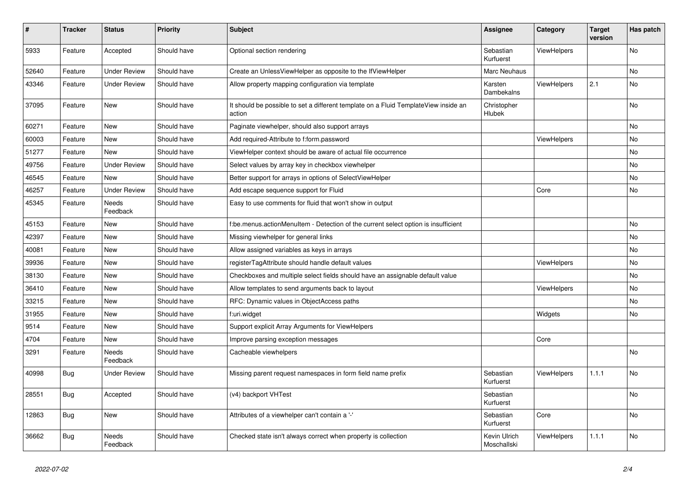| #     | <b>Tracker</b> | <b>Status</b>            | <b>Priority</b> | <b>Subject</b>                                                                                | Assignee                    | Category           | Target<br>version | Has patch |
|-------|----------------|--------------------------|-----------------|-----------------------------------------------------------------------------------------------|-----------------------------|--------------------|-------------------|-----------|
| 5933  | Feature        | Accepted                 | Should have     | Optional section rendering                                                                    | Sebastian<br>Kurfuerst      | <b>ViewHelpers</b> |                   | <b>No</b> |
| 52640 | Feature        | <b>Under Review</b>      | Should have     | Create an UnlessViewHelper as opposite to the IfViewHelper                                    | Marc Neuhaus                |                    |                   | No        |
| 43346 | Feature        | <b>Under Review</b>      | Should have     | Allow property mapping configuration via template                                             | Karsten<br>Dambekalns       | <b>ViewHelpers</b> | 2.1               | No        |
| 37095 | Feature        | New                      | Should have     | It should be possible to set a different template on a Fluid TemplateView inside an<br>action | Christopher<br>Hlubek       |                    |                   | No        |
| 60271 | Feature        | <b>New</b>               | Should have     | Paginate viewhelper, should also support arrays                                               |                             |                    |                   | No        |
| 60003 | Feature        | New                      | Should have     | Add required-Attribute to f:form.password                                                     |                             | ViewHelpers        |                   | No        |
| 51277 | Feature        | New                      | Should have     | ViewHelper context should be aware of actual file occurrence                                  |                             |                    |                   | No        |
| 49756 | Feature        | <b>Under Review</b>      | Should have     | Select values by array key in checkbox viewhelper                                             |                             |                    |                   | No        |
| 46545 | Feature        | <b>New</b>               | Should have     | Better support for arrays in options of SelectViewHelper                                      |                             |                    |                   | No        |
| 46257 | Feature        | <b>Under Review</b>      | Should have     | Add escape sequence support for Fluid                                                         |                             | Core               |                   | No        |
| 45345 | Feature        | Needs<br>Feedback        | Should have     | Easy to use comments for fluid that won't show in output                                      |                             |                    |                   |           |
| 45153 | Feature        | <b>New</b>               | Should have     | f:be.menus.actionMenuItem - Detection of the current select option is insufficient            |                             |                    |                   | <b>No</b> |
| 42397 | Feature        | <b>New</b>               | Should have     | Missing viewhelper for general links                                                          |                             |                    |                   | No        |
| 40081 | Feature        | <b>New</b>               | Should have     | Allow assigned variables as keys in arrays                                                    |                             |                    |                   | No        |
| 39936 | Feature        | New                      | Should have     | registerTagAttribute should handle default values                                             |                             | ViewHelpers        |                   | No        |
| 38130 | Feature        | New                      | Should have     | Checkboxes and multiple select fields should have an assignable default value                 |                             |                    |                   | No        |
| 36410 | Feature        | <b>New</b>               | Should have     | Allow templates to send arguments back to layout                                              |                             | ViewHelpers        |                   | No        |
| 33215 | Feature        | <b>New</b>               | Should have     | RFC: Dynamic values in ObjectAccess paths                                                     |                             |                    |                   | No.       |
| 31955 | Feature        | <b>New</b>               | Should have     | f:uri.widget                                                                                  |                             | Widgets            |                   | No        |
| 9514  | Feature        | New                      | Should have     | Support explicit Array Arguments for ViewHelpers                                              |                             |                    |                   |           |
| 4704  | Feature        | New                      | Should have     | Improve parsing exception messages                                                            |                             | Core               |                   |           |
| 3291  | Feature        | <b>Needs</b><br>Feedback | Should have     | Cacheable viewhelpers                                                                         |                             |                    |                   | No        |
| 40998 | Bug            | <b>Under Review</b>      | Should have     | Missing parent request namespaces in form field name prefix                                   | Sebastian<br>Kurfuerst      | ViewHelpers        | 1.1.1             | No        |
| 28551 | <b>Bug</b>     | Accepted                 | Should have     | (v4) backport VHTest                                                                          | Sebastian<br>Kurfuerst      |                    |                   | No        |
| 12863 | <b>Bug</b>     | <b>New</b>               | Should have     | Attributes of a viewhelper can't contain a '-'                                                | Sebastian<br>Kurfuerst      | Core               |                   | No        |
| 36662 | <b>Bug</b>     | Needs<br>Feedback        | Should have     | Checked state isn't always correct when property is collection                                | Kevin Ulrich<br>Moschallski | ViewHelpers        | 1.1.1             | No        |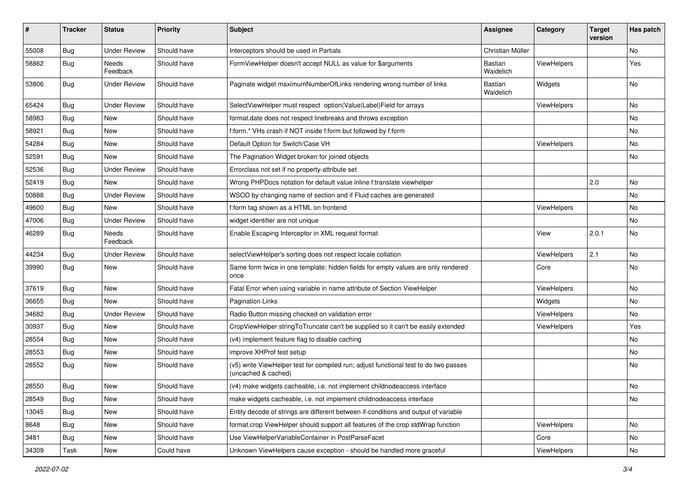| $\pmb{\#}$ | <b>Tracker</b> | <b>Status</b>       | <b>Priority</b> | <b>Subject</b>                                                                                              | <b>Assignee</b>      | Category           | <b>Target</b><br>version | Has patch |
|------------|----------------|---------------------|-----------------|-------------------------------------------------------------------------------------------------------------|----------------------|--------------------|--------------------------|-----------|
| 55008      | Bug            | <b>Under Review</b> | Should have     | Interceptors should be used in Partials                                                                     | Christian Müller     |                    |                          | <b>No</b> |
| 58862      | <b>Bug</b>     | Needs<br>Feedback   | Should have     | FormViewHelper doesn't accept NULL as value for \$arguments                                                 | Bastian<br>Waidelich | ViewHelpers        |                          | Yes       |
| 53806      | Bug            | <b>Under Review</b> | Should have     | Paginate widget maximumNumberOfLinks rendering wrong number of links                                        | Bastian<br>Waidelich | Widgets            |                          | No        |
| 65424      | Bug            | <b>Under Review</b> | Should have     | SelectViewHelper must respect option(Value Label)Field for arrays                                           |                      | <b>ViewHelpers</b> |                          | No        |
| 58983      | Bug            | New                 | Should have     | format.date does not respect linebreaks and throws exception                                                |                      |                    |                          | No        |
| 58921      | Bug            | New                 | Should have     | f:form.* VHs crash if NOT inside f:form but followed by f:form                                              |                      |                    |                          | No.       |
| 54284      | Bug            | <b>New</b>          | Should have     | Default Option for Switch/Case VH                                                                           |                      | ViewHelpers        |                          | No        |
| 52591      | Bug            | New                 | Should have     | The Pagination Widget broken for joined objects                                                             |                      |                    |                          | No        |
| 52536      | <b>Bug</b>     | <b>Under Review</b> | Should have     | Errorclass not set if no property-attribute set                                                             |                      |                    |                          |           |
| 52419      | Bug            | <b>New</b>          | Should have     | Wrong PHPDocs notation for default value inline f:translate viewhelper                                      |                      |                    | 2.0                      | No        |
| 50888      | Bug            | <b>Under Review</b> | Should have     | WSOD by changing name of section and if Fluid caches are generated                                          |                      |                    |                          | No        |
| 49600      | Bug            | <b>New</b>          | Should have     | f:form tag shown as a HTML on frontend                                                                      |                      | ViewHelpers        |                          | No        |
| 47006      | Bug            | <b>Under Review</b> | Should have     | widget identifier are not unique                                                                            |                      |                    |                          | No        |
| 46289      | Bug            | Needs<br>Feedback   | Should have     | Enable Escaping Interceptor in XML request format                                                           |                      | View               | 2.0.1                    | No        |
| 44234      | Bug            | <b>Under Review</b> | Should have     | selectViewHelper's sorting does not respect locale collation                                                |                      | ViewHelpers        | 2.1                      | No        |
| 39990      | Bug            | New                 | Should have     | Same form twice in one template: hidden fields for empty values are only rendered<br>once                   |                      | Core               |                          | No        |
| 37619      | Bug            | New                 | Should have     | Fatal Error when using variable in name attribute of Section ViewHelper                                     |                      | ViewHelpers        |                          | No.       |
| 36655      | Bug            | <b>New</b>          | Should have     | <b>Pagination Links</b>                                                                                     |                      | Widgets            |                          | No        |
| 34682      | Bug            | <b>Under Review</b> | Should have     | Radio Button missing checked on validation error                                                            |                      | ViewHelpers        |                          | No        |
| 30937      | Bug            | New                 | Should have     | CropViewHelper stringToTruncate can't be supplied so it can't be easily extended                            |                      | ViewHelpers        |                          | Yes       |
| 28554      | <b>Bug</b>     | New                 | Should have     | (v4) implement feature flag to disable caching                                                              |                      |                    |                          | No        |
| 28553      | Bug            | New                 | Should have     | improve XHProf test setup                                                                                   |                      |                    |                          | No        |
| 28552      | Bug            | New                 | Should have     | (v5) write ViewHelper test for compiled run; adjust functional test to do two passes<br>(uncached & cached) |                      |                    |                          | No        |
| 28550      | <b>Bug</b>     | New                 | Should have     | (v4) make widgets cacheable, i.e. not implement childnodeaccess interface                                   |                      |                    |                          | No        |
| 28549      | Bug            | New                 | Should have     | make widgets cacheable, i.e. not implement childnodeaccess interface                                        |                      |                    |                          | No        |
| 13045      | <b>Bug</b>     | New                 | Should have     | Entity decode of strings are different between if-conditions and output of variable                         |                      |                    |                          |           |
| 8648       | Bug            | New                 | Should have     | format.crop ViewHelper should support all features of the crop stdWrap function                             |                      | ViewHelpers        |                          | No        |
| 3481       | Bug            | New                 | Should have     | Use ViewHelperVariableContainer in PostParseFacet                                                           |                      | Core               |                          | No        |
| 34309      | Task           | New                 | Could have      | Unknown ViewHelpers cause exception - should be handled more graceful                                       |                      | ViewHelpers        |                          | No        |